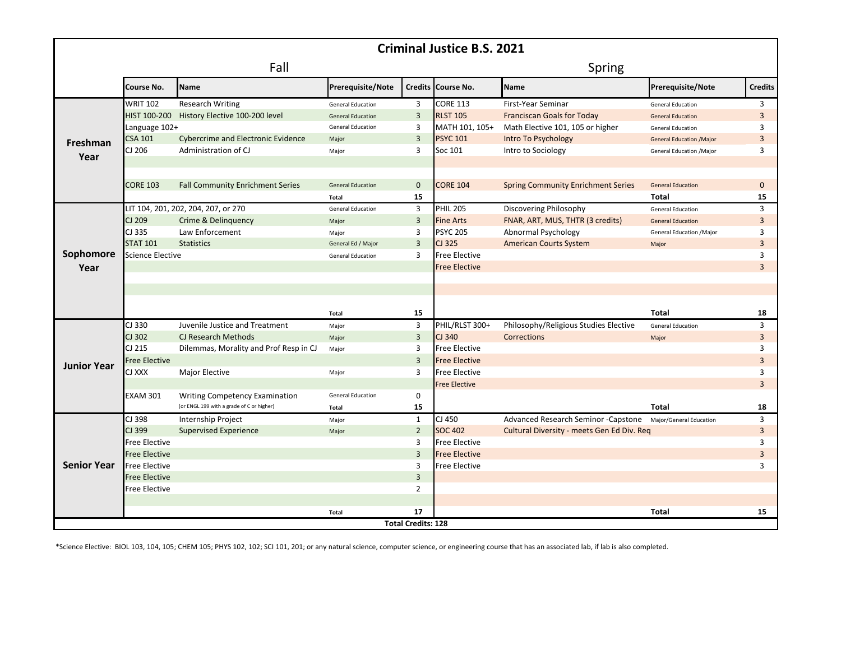| <b>Criminal Justice B.S. 2021</b> |                         |                                           |                          |                |                      |                                            |                                 |                     |
|-----------------------------------|-------------------------|-------------------------------------------|--------------------------|----------------|----------------------|--------------------------------------------|---------------------------------|---------------------|
|                                   | Fall                    |                                           |                          |                | Spring               |                                            |                                 |                     |
|                                   | Course No.              | <b>Name</b>                               | Prerequisite/Note        |                | Credits Course No.   | <b>Name</b>                                | Prerequisite/Note               | <b>Credits</b>      |
| Freshman<br>Year                  | <b>WRIT 102</b>         | <b>Research Writing</b>                   | <b>General Education</b> | 3              | <b>CORE 113</b>      | First-Year Seminar                         | <b>General Education</b>        | 3                   |
|                                   | HIST 100-200            | History Elective 100-200 level            | <b>General Education</b> | $\overline{3}$ | <b>RLST 105</b>      | <b>Franciscan Goals for Today</b>          | <b>General Education</b>        | $\overline{3}$      |
|                                   | Language 102+           |                                           | <b>General Education</b> | 3              | MATH 101, 105+       | Math Elective 101, 105 or higher           | <b>General Education</b>        | 3                   |
|                                   | CSA 101                 | <b>Cybercrime and Electronic Evidence</b> | Major                    | $\overline{3}$ | <b>PSYC 101</b>      | Intro To Psychology                        | <b>General Education /Major</b> | 3                   |
|                                   | CJ 206                  | Administration of CJ                      | Major                    | $\overline{3}$ | Soc 101              | Intro to Sociology                         | General Education /Major        | 3                   |
|                                   |                         |                                           |                          |                |                      |                                            |                                 |                     |
|                                   | <b>CORE 103</b>         | <b>Fall Community Enrichment Series</b>   | <b>General Education</b> | $\mathbf{0}$   | <b>CORE 104</b>      | <b>Spring Community Enrichment Series</b>  | <b>General Education</b>        | $\mathbf{0}$        |
|                                   |                         |                                           | Total                    | 15             |                      |                                            | Total                           | 15                  |
|                                   |                         | LIT 104, 201, 202, 204, 207, or 270       | <b>General Education</b> | 3              | <b>PHIL 205</b>      | Discovering Philosophy                     | <b>General Education</b>        | 3                   |
| Sophomore<br>Year                 | CJ 209                  | Crime & Delinguency                       |                          | $\overline{3}$ | <b>Fine Arts</b>     | FNAR, ART, MUS, THTR (3 credits)           | <b>General Education</b>        | 3                   |
|                                   | CJ 335                  | Law Enforcement                           | Major                    | 3              | <b>PSYC 205</b>      |                                            |                                 |                     |
|                                   | <b>STAT 101</b>         | <b>Statistics</b>                         | Major                    | $\overline{3}$ | CJ 325               | Abnormal Psychology                        | General Education / Major       | 3<br>$\overline{3}$ |
|                                   | <b>Science Elective</b> |                                           | General Ed / Major       | 3              | <b>Free Elective</b> | <b>American Courts System</b>              | Major                           | 3                   |
|                                   |                         |                                           | <b>General Education</b> |                |                      |                                            |                                 | $\overline{3}$      |
|                                   |                         |                                           |                          |                | <b>Free Elective</b> |                                            |                                 |                     |
|                                   |                         |                                           |                          |                |                      |                                            |                                 |                     |
|                                   |                         |                                           |                          |                |                      |                                            |                                 |                     |
|                                   |                         |                                           | Total                    | 15             |                      |                                            | <b>Total</b>                    | 18                  |
| <b>Junior Year</b>                | CJ 330                  | Juvenile Justice and Treatment            | Major                    | $\overline{3}$ | PHIL/RLST 300+       | Philosophy/Religious Studies Elective      | <b>General Education</b>        | 3                   |
|                                   | CJ 302                  | CJ Research Methods                       | Major                    | $\overline{3}$ | CJ 340               | Corrections                                | Major                           | $\overline{3}$      |
|                                   | CJ 215                  | Dilemmas, Morality and Prof Resp in CJ    | Major                    | 3              | <b>Free Elective</b> |                                            |                                 | 3                   |
|                                   | Free Elective           |                                           |                          | $\overline{3}$ | <b>Free Elective</b> |                                            |                                 | $\overline{3}$      |
|                                   | CJ XXX                  | <b>Major Elective</b>                     | Major                    | 3              | <b>Free Elective</b> |                                            |                                 | 3                   |
|                                   |                         |                                           |                          |                | <b>Free Elective</b> |                                            |                                 | $\overline{3}$      |
|                                   | <b>EXAM 301</b>         | <b>Writing Competency Examination</b>     | <b>General Education</b> | $\mathbf 0$    |                      |                                            |                                 |                     |
|                                   |                         | (or ENGL 199 with a grade of C or higher) | <b>Total</b>             | 15             |                      |                                            | Total                           | 18                  |
|                                   | CJ 398                  | Internship Project                        | Major                    | $\mathbf{1}$   | CJ 450               | Advanced Research Seminor - Capstone       | Major/General Education         | 3                   |
|                                   | CJ 399                  | <b>Supervised Experience</b>              | Major                    | $\overline{2}$ | <b>SOC 402</b>       | Cultural Diversity - meets Gen Ed Div. Req |                                 | $\overline{3}$      |
|                                   | <b>Free Elective</b>    |                                           |                          | 3              | <b>Free Elective</b> |                                            |                                 | 3                   |
|                                   | <b>Free Elective</b>    |                                           |                          | $\overline{3}$ | <b>Free Elective</b> |                                            |                                 | 3                   |
|                                   |                         |                                           |                          | 3              | <b>Free Elective</b> |                                            |                                 | 3                   |
| <b>Senior Year</b>                | <b>Free Elective</b>    |                                           |                          |                |                      |                                            |                                 |                     |
|                                   | <b>Free Elective</b>    |                                           |                          | $\overline{3}$ |                      |                                            |                                 |                     |
|                                   | Free Elective           |                                           |                          | $\overline{2}$ |                      |                                            |                                 |                     |
|                                   |                         |                                           |                          |                |                      |                                            |                                 |                     |
|                                   |                         |                                           | Total                    | 17             |                      |                                            | <b>Total</b>                    | 15                  |

\*Science Elective: BIOL 103, 104, 105; CHEM 105; PHYS 102, 102; SCI 101, 201; or any natural science, computer science, or engineering course that has an associated lab, if lab is also completed.